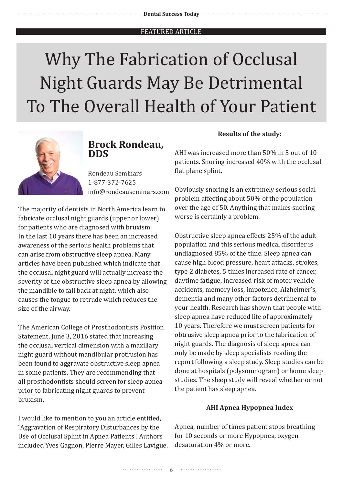# Why The Fabrication of Occlusal Night Guards May Be Detrimental To The Overall Health of Your Patient



## **Brock Rondeau, DDS**

Rondeau Seminars 1-877-372-7625 info@rondeauseminars.com

The majority of dentists in North America learn to fabricate occlusal night guards (upper or lower) for patients who are diagnosed with bruxism. In the last 10 years there has been an increased awareness of the serious health problems that can arise from obstructive sleep apnea. Many articles have been published which indicate that the occlusal night guard will actually increase the severity of the obstructive sleep apnea by allowing the mandible to fall back at night, which also causes the tongue to retrude which reduces the size of the airway.

The American College of Prosthodontists Position Statement, June 3, 2016 stated that increasing the occlusal vertical dimension with a maxillary night guard without mandibular protrusion has been found to aggravate obstructive sleep apnea in some patients. They are recommending that all prosthodontists should screen for sleep apnea prior to fabricating night guards to prevent bruxism.

I would like to mention to you an article entitled, "Aggravation of Respiratory Disturbances by the Use of Occlusal Splint in Apnea Patients". Authors included Yves Gagnon, Pierre Mayer, Gilles Lavigue.

#### **Results of the study:**

AHI was increased more than 50% in 5 out of 10 patients. Snoring increased 40% with the occlusal flat plane splint.

Obviously snoring is an extremely serious social problem affecting about 50% of the population over the age of 50. Anything that makes snoring worse is certainly a problem.

Obstructive sleep apnea effects 25% of the adult population and this serious medical disorder is undiagnosed 85% of the time. Sleep apnea can cause high blood pressure, heart attacks, strokes, type 2 diabetes, 5 times increased rate of cancer, daytime fatigue, increased risk of motor vehicle accidents, memory loss, impotence, Alzheimer's, dementia and many other factors detrimental to your health. Research has shown that people with sleep apnea have reduced life of approximately 10 years. Therefore we must screen patients for obtrusive sleep apnea prior to the fabrication of night guards. The diagnosis of sleep apnea can only be made by sleep specialists reading the report following a sleep study. Sleep studies can be done at hospitals (polysomnogram) or home sleep studies. The sleep study will reveal whether or not the patient has sleep apnea.

#### **AHI Apnea Hypopnea Index**

Apnea, number of times patient stops breathing for 10 seconds or more Hypopnea, oxygen desaturation 4% or more.